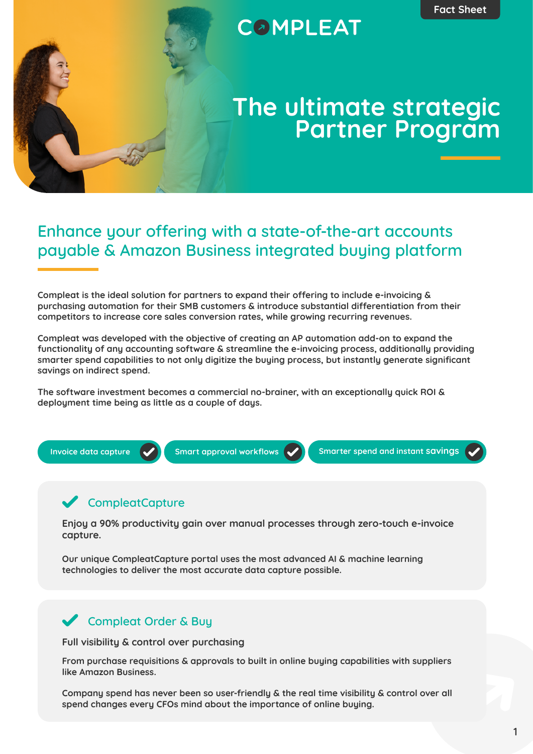# **COMPLEAT**

# **The ultimate strategic Partner Program**

## **Enhance your offering with a state-of-the-art accounts payable & Amazon Business integrated buying platform**

**Compleat is the ideal solution for partners to expand their offering to include e-invoicing & purchasing automation for their SMB customers & introduce substantial differentiation from their competitors to increase core sales conversion rates, while growing recurring revenues.**

**Compleat was developed with the objective of creating an AP automation add-on to expand the functionality of any accounting software & streamline the e-invoicing process, additionally providing smarter spend capabilities to not only digitize the buying process, but instantly generate significant savings on indirect spend.**

**The software investment becomes a commercial no-brainer, with an exceptionally quick ROI & deployment time being as little as a couple of days.**



#### **CompleatCapture**

**Enjoy a 90% productivity gain over manual processes through zero-touch e-invoice capture.**

**Our unique CompleatCapture portal uses the most advanced AI & machine learning technologies to deliver the most accurate data capture possible.**

#### **Compleat Order & Buy**

**Full visibility & control over purchasing**

**From purchase requisitions & approvals to built in online buying capabilities with suppliers like Amazon Business.**

**Company spend has never been so user-friendly & the real time visibility & control over all spend changes every CFOs mind about the importance of online buying.**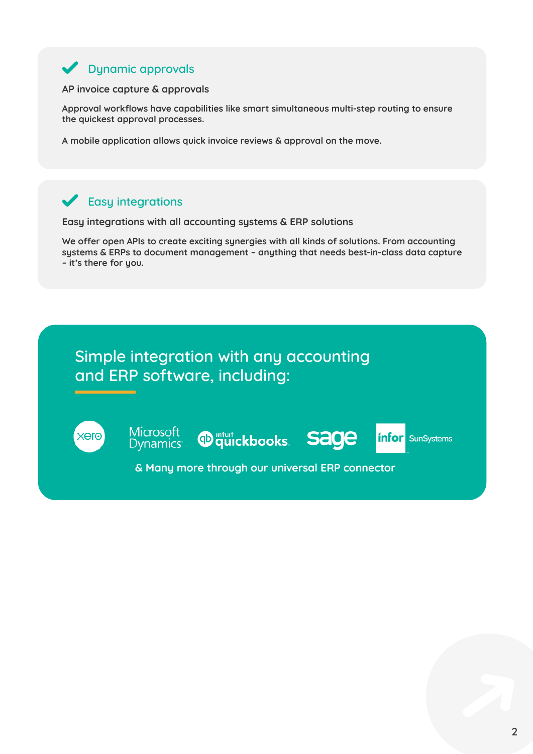## **Dynamic approvals**

#### **AP invoice capture & approvals**

**Approval workflows have capabilities like smart simultaneous multi-step routing to ensure the quickest approval processes.**

**A mobile application allows quick invoice reviews & approval on the move.**

#### **Easy integrations**

**Easy integrations with all accounting systems & ERP solutions**

**We offer open APIs to create exciting synergies with all kinds of solutions. From accounting systems & ERPs to document management – anything that needs best-in-class data capture – it's there for you.**

## **Simple integration with any accounting and ERP software, including:**



**Microsoft Dynamics** 

<sup>m<sub>tut</sub></sup> quickbooks. Sage

**infor** SunSystems

**& Many more through our universal ERP connector**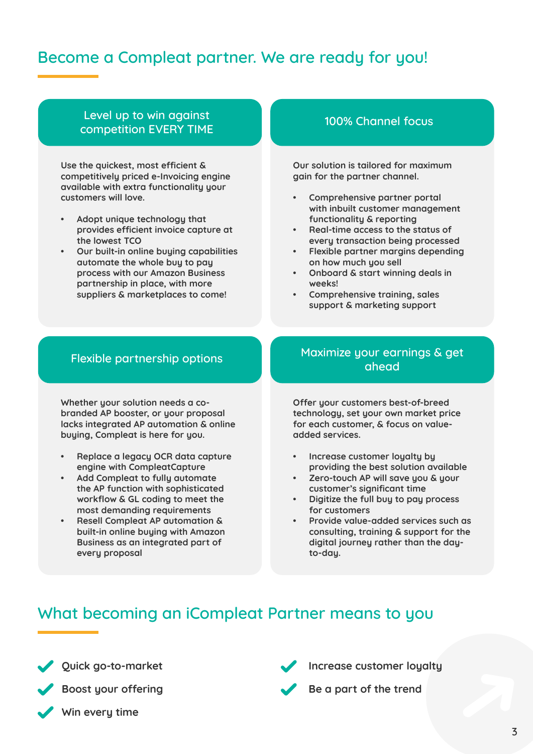## **Become a Compleat partner. We are ready for you!**

#### **Level up to win against competition EVERY TIME**

**Use the quickest, most efficient & competitively priced e-Invoicing engine available with extra functionality your customers will love.**

- **• Adopt unique technology that provides efficient invoice capture at the lowest TCO**
- **• Our built-in online buying capabilities automate the whole buy to pay process with our Amazon Business partnership in place, with more suppliers & marketplaces to come!**

#### **100% Channel focus**

**Our solution is tailored for maximum gain for the partner channel.**

- **• Comprehensive partner portal with inbuilt customer management functionality & reporting**
- **• Real-time access to the status of every transaction being processed**
- **• Flexible partner margins depending on how much you sell**
- **• Onboard & start winning deals in weeks!**
- **• Comprehensive training, sales support & marketing support**

#### **Flexible partnership options**

**Whether your solution needs a cobranded AP booster, or your proposal lacks integrated AP automation & online buying, Compleat is here for you.**

- **• Replace a legacy OCR data capture engine with CompleatCapture**
- **• Add Compleat to fully automate the AP function with sophisticated workflow & GL coding to meet the most demanding requirements**
- **• Resell Compleat AP automation & built-in online buying with Amazon Business as an integrated part of every proposal**

#### **Maximize your earnings & get ahead**

**Offer your customers best-of-breed technology, set your own market price for each customer, & focus on valueadded services.**

- **• Increase customer loyalty by providing the best solution available**
- **• Zero-touch AP will save you & your customer's significant time**
- **• Digitize the full buy to pay process for customers**
- **• Provide value-added services such as consulting, training & support for the digital journey rather than the dayto-day.**

## **What becoming an iCompleat Partner means to you**

**Quick go-to-market**



**Win every time** 

**Increase customer loyalty**

**Be a part of the trend**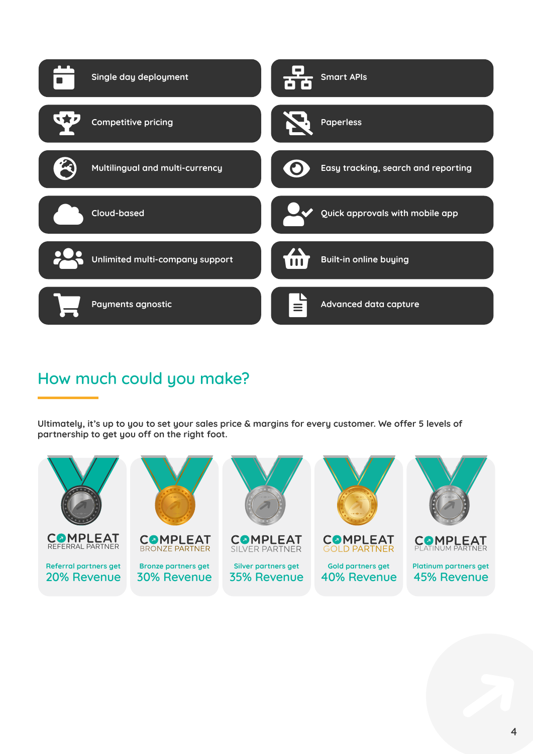

## **How much could you make?**

**Ultimately, it's up to you to set your sales price & margins for every customer. We offer 5 levels of partnership to get you off on the right foot.**